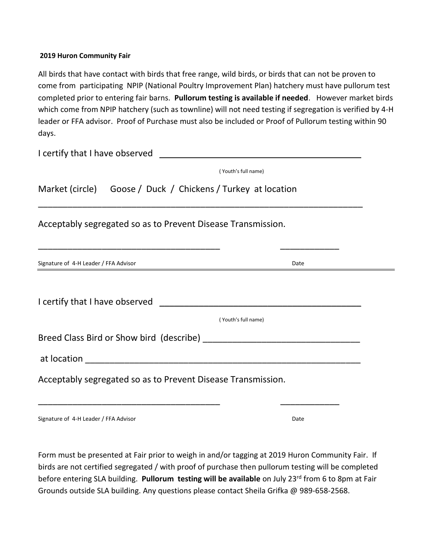## **2019 Huron Community Fair**

All birds that have contact with birds that free range, wild birds, or birds that can not be proven to come from participating NPIP (National Poultry Improvement Plan) hatchery must have pullorum test completed prior to entering fair barns. **Pullorum testing is available if needed**. However market birds which come from NPIP hatchery (such as townline) will not need testing if segregation is verified by 4-H leader or FFA advisor. Proof of Purchase must also be included or Proof of Pullorum testing within 90 days.

I certify that I have observed

|                                                                                                                 | (Youth's full name) |  |
|-----------------------------------------------------------------------------------------------------------------|---------------------|--|
| Market (circle) Goose / Duck / Chickens / Turkey at location                                                    |                     |  |
| Acceptably segregated so as to Prevent Disease Transmission.                                                    |                     |  |
| Signature of 4-H Leader / FFA Advisor                                                                           | Date                |  |
| I certify that I have observed and the state of the state of the state of the state of the state of the state o | (Youth's full name) |  |
|                                                                                                                 |                     |  |
| Acceptably segregated so as to Prevent Disease Transmission.                                                    |                     |  |

Signature of 4-H Leader / FFA Advisor Date

Form must be presented at Fair prior to weigh in and/or tagging at 2019 Huron Community Fair. If birds are not certified segregated / with proof of purchase then pullorum testing will be completed before entering SLA building. **Pullorum testing will be available** on July 23<sup>rd</sup> from 6 to 8pm at Fair Grounds outside SLA building. Any questions please contact Sheila Grifka @ 989-658-2568.